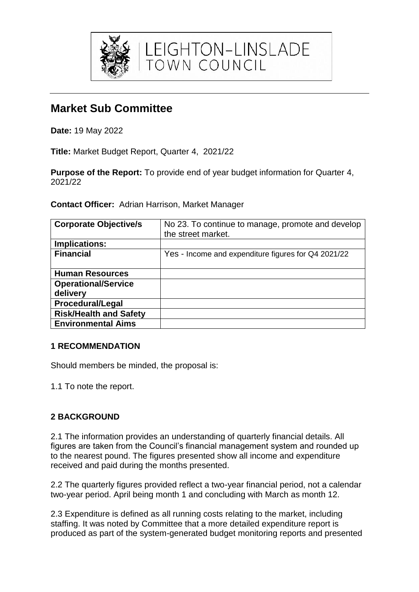

LEIGHTON-LINSLADE<br>TOWN COUNCIL

# **Market Sub Committee**

**Date:** 19 May 2022

**Title:** Market Budget Report, Quarter 4, 2021/22

**Purpose of the Report:** To provide end of year budget information for Quarter 4, 2021/22

**Contact Officer:** Adrian Harrison, Market Manager

| <b>Corporate Objective/s</b>  | No 23. To continue to manage, promote and develop<br>the street market. |
|-------------------------------|-------------------------------------------------------------------------|
| Implications:                 |                                                                         |
| <b>Financial</b>              | Yes - Income and expenditure figures for Q4 2021/22                     |
| <b>Human Resources</b>        |                                                                         |
| <b>Operational/Service</b>    |                                                                         |
| delivery                      |                                                                         |
| <b>Procedural/Legal</b>       |                                                                         |
| <b>Risk/Health and Safety</b> |                                                                         |
| <b>Environmental Aims</b>     |                                                                         |

### **1 RECOMMENDATION**

Should members be minded, the proposal is:

1.1 To note the report.

## **2 BACKGROUND**

2.1 The information provides an understanding of quarterly financial details. All figures are taken from the Council's financial management system and rounded up to the nearest pound. The figures presented show all income and expenditure received and paid during the months presented.

2.2 The quarterly figures provided reflect a two-year financial period, not a calendar two-year period. April being month 1 and concluding with March as month 12.

2.3 Expenditure is defined as all running costs relating to the market, including staffing. It was noted by Committee that a more detailed expenditure report is produced as part of the system-generated budget monitoring reports and presented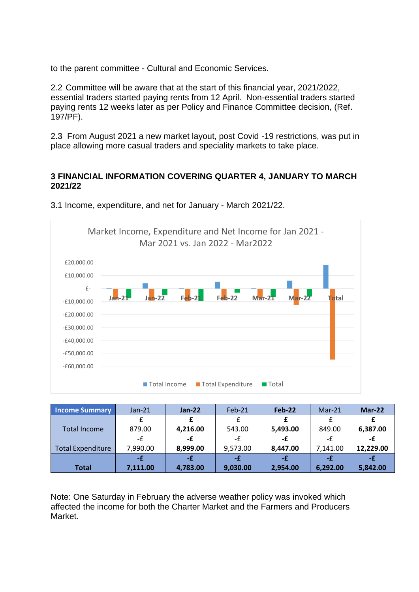to the parent committee - Cultural and Economic Services.

2.2 Committee will be aware that at the start of this financial year, 2021/2022, essential traders started paying rents from 12 April. Non-essential traders started paying rents 12 weeks later as per Policy and Finance Committee decision, (Ref. 197/PF).

2.3 From August 2021 a new market layout, post Covid -19 restrictions, was put in place allowing more casual traders and speciality markets to take place.

#### **3 FINANCIAL INFORMATION COVERING QUARTER 4, JANUARY TO MARCH 2021/22**



3.1 Income, expenditure, and net for January - March 2021/22.

| <b>Income Summary</b>    | $Jan-21$ | $Jan-22$ | $Feb-21$ | Feb-22   | $Mar-21$ | $Mar-22$  |
|--------------------------|----------|----------|----------|----------|----------|-----------|
|                          |          |          |          |          |          |           |
| <b>Total Income</b>      | 879.00   | 4,216.00 | 543.00   | 5,493.00 | 849.00   | 6,387.00  |
|                          | -£       | -£       | -£       | -£       | -f       | -£        |
| <b>Total Expenditure</b> | 7,990.00 | 8,999.00 | 9,573.00 | 8,447.00 | 7,141.00 | 12,229.00 |
|                          | -£       | -£       | -£       | -£       | -£       | -£        |
| <b>Total</b>             | 7,111.00 | 4,783.00 | 9,030.00 | 2,954.00 | 6,292.00 | 5,842.00  |

Note: One Saturday in February the adverse weather policy was invoked which affected the income for both the Charter Market and the Farmers and Producers Market.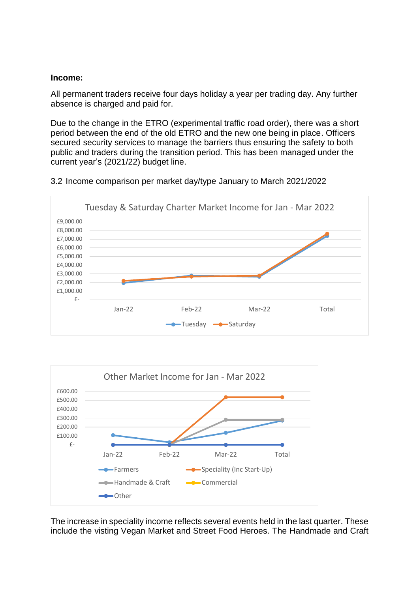#### **Income:**

All permanent traders receive four days holiday a year per trading day. Any further absence is charged and paid for.

Due to the change in the ETRO (experimental traffic road order), there was a short period between the end of the old ETRO and the new one being in place. Officers secured security services to manage the barriers thus ensuring the safety to both public and traders during the transition period. This has been managed under the current year's (2021/22) budget line.







The increase in speciality income reflects several events held in the last quarter. These include the visting Vegan Market and Street Food Heroes. The Handmade and Craft